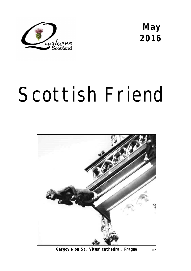

**May 2016** 

# Scottish Friend



Gargoyle on St. Vitus' cathedral, Prague sp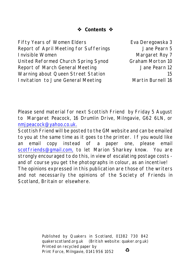**Contents ☆** 

Fifty Years of Women Elders Eva Deregowska 3 Report of April Meeting for Sufferings Jane Pearn 5 **Invisible Women** Margaret Roy 7 United Reformed Church Spring Synod Graham Morton 10 Report of March General Meeting The State State Pearn 12 Warning about Queen Street Station 15 Invitation to June General Meeting Martin Burnell 16

Please send material for next *Scottish Friend* by Friday 5 August to Margaret Peacock, 16 Drumlin Drive, Milngavie, G62 6LN, or [nmjpeacock@yahoo.co.uk.](mailto:nmjpeacock@yahoo.co.uk.)

*Scottish Friend* will be posted to the GM website and can be emailed to you at the same time as it goes to the printer. If you would like an email copy instead of a paper one, please email [scotfriends@gmail.com,](mailto:scotfriends@aol.com,) to let Marion Sharkey know. You are strongly encouraged to do this, in view of escalating postage costs and of course you get the photographs in colour, as an incentive! The opinions expressed in this publication are those of the writers and not necessarily the opinions of the Society of Friends in Scotland, Britain or elsewhere.

> Published by Quakers in Scotland, 01382 730 842 quakerscotland.org.uk (British website: quaker.org.uk) Printed on recycled paper by  $\bullet$ Print Force, Milngavie, 0141 956 1052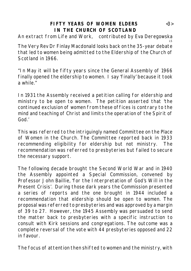### **FIFTY YEARS OF WOMEN ELDERS** <3> **IN THE CHURCH OF SCOTLAND**

An extract from *Life and Work,* contributed by Eva Deregowska LS

The Very Rev Dr Finlay Macdonald looks back on the 35-year debate that led to women being admitted to the Eldership of the Church of Scotland in 1966.

"In May it will be fifty years since the General Assembly of 1966 finally opened the eldership to women. I say 'finally' because it took a while  $"$ 

In 1931 the Assembly received a petition calling for eldership and ministry to be open to women. The petition asserted that 'the continued exclusion of women from these offices is contrary to the mind and teaching of Christ and limits the operation of the Spirit of God.'

This was referred to the intriguingly named Committee on the Place of Women in the Church. The Committee reported back in 1933 recommending eligibility for eldership but not ministry. The recommendation was referred to presbyteries but failed to secure the necessary support.

The following decade brought the Second World War and in 1940 the Assembly appointed a Special Commission, convened by Professor John Baillie, 'for the Interpretation of God's Will in the Present Crisis'. During those dark years the Commission presented a series of reports and the one brought in 1944 included a recommendation that eldership should be open to women. The proposal was referred to presbyteries and was approved by a margin of 39 to 27. However, the 1945 Assembly was persuaded to send the matter back to presbyteries with a specific instruction to consult with Kirk sessions and congregations. The outcome was a complete reversal of the vote with 44 presbyteries opposed and 22 in favour.

The focus of attention then shifted to women and the ministry, with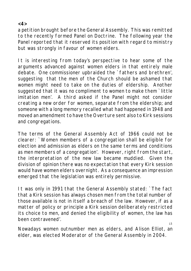**<4>**

a petition brought before the General Assembly. This was remitted to the recently formed Panel on Doctrine. The following year the Panel reported that it reserved its position with regard to ministry but was strongly in favour of women elders.

It is interesting from today's perspective to hear some of the arguments advanced against women elders in that entirely male debate. One commissioner upbraided the `fathers and brethren', suggesting that the men of the Church should be ashamed that women might need to take on the duties of eldership. Another suggested that it was no compliment to women to make them `little imitation men'. A third asked if the Panel might not consider creating a new order for women, separate from the eldership; and someone with a long memory recalled what had happened in 1948 and moved an amendment to have the Overture sent also to Kirk sessions and congregations.

The terms of the General Assembly Act of 1966 could not be clearer: `Women members of a congregation shall be eligible for election and admission as elders on the same terms and conditions as men members of a congregation'. However, right from the start, the interpretation of the new law became muddied. Given the division of opinion there was no expectation that every Kirk session would have women elders overnight. As a consequence an impression emerged that the legislation was entirely permissive.

It was only in 1991 that the General Assembly stated: `The fact that a Kirk session has always chosen men from the total number of those available is not in itself a breach of the law. However, if as a matter of policy or principle a Kirk session deliberately restricted its choice to men, and denied the eligibility of women, the law has been contravened'.  $C$ 

Nowadays women outnumber men as elders, and Alison Elliot, an elder, was elected Moderator of the General Assembly in 2004.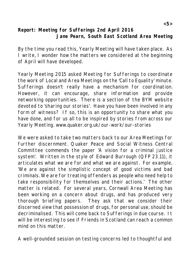**Report: Meeting for Sufferings 2nd April 2016 Jane Pearn, South East Scotland Area Meeting**

By the time you read this, Yearly Meeting will have taken place. As I write, I wonder how the matters we considered at the beginning of April will have developed.

Yearly Meeting 2015 asked Meeting for Sufferings to coordinate the work of Local and Area Meetings on the 'Call to Equality' minute. Sufferings doesn't really have a mechanism for coordination. However, it can encourage, share information and provide networking opportunities. There is a section of the BYM website devoted to 'sharing our stories'. Have you have been involved in any form of witness? If so, this is an opportunity to share what you have done, and for us all to be inspired by stories from across our Yearly Meeting. www.quaker.org.uk/our-work/our-stories

We were asked to take two matters back to our Area Meetings for further discernment. Quaker Peace and Social Witness Central Committee commends the paper 'A vision for a criminal justice system'. Written in the style of Edward Burrough (QFP 23.11), it articulates what we are for and what we are against. For example, 'We are against the simplistic concept of good victims and bad criminals. We are for treating offenders as people who need help to take responsibility for themselves and their actions.' The other matter is related. For several years, Cornwall Area Meeting has been working on a concern about drugs, and has produced very thorough briefing papers. They ask that we consider their discerned view that possession of drugs, for personal use, should be decriminalised. This will come back to Sufferings in due course. It will be interesting to see if Friends in Scotland can reach a common mind on this matter.

A well-grounded session on testing concerns led to thoughtful and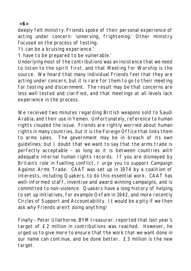**<6>** 

deeply felt ministry. Friends spoke of their personal experience of acting under concern: 'unnerving, frightening.' Other ministry focused on the process of testing.

'It can be a bruising experience.'

'I have to be prepared to be vulnerable.'

Underlying most of the contributions was an insistence that we need to listen to the spirit first, and that Meeting for Worship is the source. We heard that many individual Friends feel that they are acting under concern, but it is rare for them to go to their meeting for testing and discernment. The result may be that concerns are less well tested and clarified, and that meetings at all levels lack experience in the process.

We received two minutes regarding British weapons sold to Saudi Arabia, and their use in Yemen. Unfortunately, reference to human rights clouded the issue. Friends are rightly worried about human rights in many countries, but it is the Foreign Office that links them to arms sales. The government may be in breach of its own guidelines: but I doubt that we want to say that the arms trade is perfectly acceptable – as long as it is between countries with adequate internal human rights records. If you are dismayed by Britain's role in fuelling conflict, I urge you to support Campaign Against Arms Trade. CAAT was set up in 1974 by a coalition of interests, including Quakers, to do this essential work. CAAT has well-informed staff, inventive and award winning campaigns, and is committed to non-violence. Quakers have a long history of helping to set up initiatives, for example Oxfam in 1942, and more recently Circles of Support and Accountability. It would be a pity if we then ask why Friends aren't doing anything!

Finally – Peter Ullathorne, BYM treasurer, reported that last year's target of £2 million in contributions was reached. However, he urged us to give more to ensure that the work that we want done in our name can continue, and be done better. £3 million is the new target.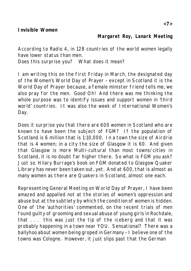According to Radio 4, in 128 countries of the world women legally have lower status than men.

Does this surprise you? What does it mean?

I am writing this on the first Friday in March, the designated day of the Women's World Day of Prayer – except in Scotland it is the World Day of Prayer because, a female minister friend tells me, we also pray for the men. Good Oh! And there was me thinking the whole purpose was to identify issues and support women in 'third world' countries. It was also the week of International Women's Day.

Does it surprise you that there are 600 women in Scotland who are known to have been the subject of FGM? If the population of Scotland is 6 million that is 1:10,000. In a town the size of Airdrie that is 4 women; in a city the size of Glasgow it is 60. And given that Glasgow is more Multi-cultural than most towns/cities in Scotland, it is no doubt far higher there. So what is FGM you ask? Just so. Hilary Burrage's book on FGM donated to Glasgow Quaker Library has never been taken out, yet. And at 600, that is almost as many women as there are Quakers in Scotland, almost one each.

Representing General Meeting on World Day of Prayer, I have been amazed and appalled not at the stories of women's oppression and abuse but at the subtlety by which the condition of women is hidden. One of the 'authorities' commented, on the recent trials of men found guilty of grooming and sexual abuse of young girls in Rochdale, that . . . this was just the tip of the iceberg and that it was probably happening in a town near YOU. Sensational? There was a ballyhoo about women being groped in Germany – I believe one of the towns was Cologne. However, it just slips past that the German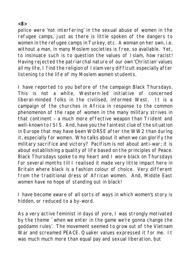police were 'not interfering' in the sexual abuse of women in the refugee camps, just as there is little spoken of the dangers to women in the refugee camps in Turkey, etc. A woman on her own, i.e. without a man, in many Moslem societies is free, so available. Yet, to insinuate such is to question the values of Islam, how racist! Having rejected the patriarchal nature of our own 'Christian' values all my life, I find the religion of Islam very difficult especially after listening to the life of my Moslem women students.

I have reported to you before of the campaign Black Thursdays. This is not a white, Western-led initiative of concerned liberal-minded folks in the civilised, informed West. It is a campaign of the churches in Africa in response to the common phenomenon of the rape of women in the many military strives in that continent – a much more effective weapon than Trident and well-known to ISIS. And, have you the faintest clue of the situation in Europe that may have been WORSE after the WW2 than during it, especially for women. Who talks about it when we can glorify the military sacrifice and victory? Pacifism is not about anti-war; it is about establishing a quality of life based on the principles of Peace. Black Thursdays spoke to my heart and I wore black on Thursdays for several months till I realised it made very little impact here in Britain where black is a fashion colour of choice. Very different from the traditional dress of African women. And, Middle East women have no hope of standing out in black!

I have become aware of all sorts of ways in which women's story is hidden, or reduced to a by-word.

As a very active feminist in days of yore, I was strongly motivated by the theme `when we enter in the game we're gonna change the goddamn rules'. The movement seemed to grow out of the Vietnam War and screamed PEACE. Quaker values expressed it for me. It was much much more than equal pay and sexual liberation, but

#### **<8>**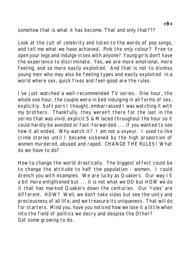somehow that is what it has become. That and only that???

Look at the cult of celebrity and listen to the words of pop songs, and tell me what we have achieved. Pink the only colour? Free to open your legs and indulge in sex with anyone? Young girls don't have the experience to discriminate. Yes, we are more emotional, more feeling, and so more easily exploited. And that is not to dismiss young men who may also be feeling types and easily exploited in a world where sex, quick fixes and feel-good are the rules.

I've just watched a well-recommended TV series. One hour, the whole one hour, the couple were in bed indulging in all forms of sex, explicitly. Soft porn I thought, embarrassed I was watching it with my brothers. Thankfully, they weren't there for the last in the series that was vivid, explicit S & M laced throughout the hour so it could hardly be avoided or fast-forwarded . . . if you wanted to see how it all ended. Why watch it? I am not a voyeur. I used to like crime stories until I became sickened by the high proportion of women murdered, abused and raped. CHANGE THE RULES! What do we have to do?

How to change the world drastically. The biggest effect could be to change the attitude to half the population - women. I could drench you with examples. We are lucky as Quakers. Our way IS a bit more enlightened but . . . it is not what we DO but HOW we do it that has marked Quakers down the centuries. Our 'rules' are different. HOW? Well, we don't take sides but see the unity and preciousness of all life, and we treasure its uniqueness. That will do for starters. Mind you, have you noticed how we lose it a little when into the field of politics we decry and despise the Other? Got some growing to do.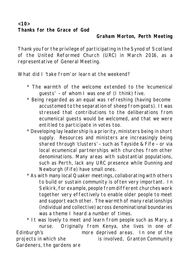**<10> Thanks for the Grace of God**

#### **Graham Morton, Perth Meeting**

Thank you for the privilege of participating in the Synod of Scotland of the United Reformed Church (URC) in March 2016, as a representative of General Meeting.

What did I 'take from' or learn at the weekend?

- \* The warmth of the welcome extended to the 'ecumenical guests' – of whom I was one of (I think) five.
- \* Being regarded as an equal was refreshing (having become accustomed to the separation of sheep from goats). It was stressed that contributions to the deliberations from ecumenical guests would be welcomed, and that we were entitled to participate in votes too.
- \* Developing lay leadership is a priority, ministers being in short supply. Resources and ministers are increasingly being shared through 'clusters' – such as Tayside & Fife – or via local ecumenical partnerships with churches from other denominations. Many areas with substantial populations, such as Perth, lack any URC presence while Dunning and Newburgh (Fife) have small ones.
- \* As with many local Quaker meetings, collaborating with others to build or sustain community is often very important. In Selkirk, for example, people from different churches work together very effectively to enable older people to meet and support each other. The warmth of many relationships (individual and collective) across denominational boundaries was a theme I heard a number of times.

\* It was lovely to meet and learn from people such as Mary, a nurse. Originally from Kenya, she lives in one of Edinburgh's more deprived areas. In one of the projects in which she is involved, Granton Community Gardeners, the gardens are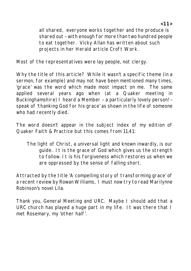all shared, everyone works together and the produce is shared out – with enough for more than two hundred people to eat together. Vicky Allan has written about such projects in her Herald article Croft Work.

Most of the representatives were lay people, not clergy.

Why the title of this article? While it wasn't a specific theme (in a sermon, for example) and may not have been mentioned many times, 'grace' was the word which made most impact on me. The same applied several years ago when (at a Quaker meeting in Buckinghamshire) I heard a Member – a particularly lovely person! – speak of 'thanking God for his grace' as shown in the life of someone who had recently died.

The word doesn't appear in the subject index of my edition of Quaker Faith & Practice but this comes from 11.41:

The light of Christ, a universal light and known inwardly, is our guide. It is the grace of God which gives us the strength to follow. It is his forgiveness which restores us when we are oppressed by the sense of falling short.

Attracted by the title 'A compelling story of transforming grace' of a recent review by Rowan Williams, I must now try to read Marilynne Robinson's novel *Lila*.

Thank you, General Meeting and URC. Maybe I should add that a URC church has played a huge part in my life. It was there that I met Rosemary, my 'other half'.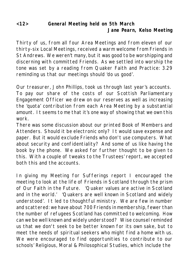### **<12> General Meeting held on 5th March Jane Pearn, Kelso Meeting**

Thirty of us, from all four Area Meetings and from eleven of our thirty-six Local Meetings, received a warm welcome from Friends in St Andrews. We weren't many, but it was good to be worshipping and discerning with committed Friends. As we settled into worship the tone was set by a reading from Quaker Faith and Practice: 3.29 reminding us that our meetings should 'do us good'.

Our treasurer, John Phillips, took us through last year's accounts. To pay our share of the costs of our Scottish Parliamentary Engagement Officer we drew on our reserves as well as increasing the 'quota' contribution from each Area Meeting by a substantial amount. It seems to me that it's one way of showing that we own this work.

There was some discussion about our printed Book of Members and Attenders. Should it be electronic only? It would save expense and paper. But it would exclude Friends who don't use computers. What about security and confidentiality? And some of us like having the book by the phone. We asked for further thought to be given to this. With a couple of tweaks to the Trustees' report, we accepted both this and the accounts.

In giving my Meeting for Sufferings report I encouraged the meeting to look at the life of Friends in Scotland through the prism of Our Faith in the Future. 'Quaker values are active in Scotland and in the world.' 'Quakers are well known in Scotland and widely understood'. It led to thoughtful ministry. We are few in number and scattered: we have about 700 Friends in membership, fewer than the number of refugees Scotland has committed to welcoming. How can we be well known and widely understood? Wise counsel reminded us that we don't seek to be better known for its own sake, but to meet the needs of spiritual seekers who might find a home with us. We were encouraged to find opportunities to contribute to our schools' Religious, Moral & Philosophical Studies, which include the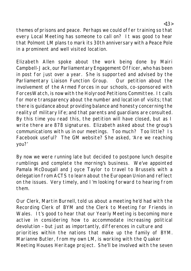themes ofprisons and peace. Perhaps we could offer training so that every Local Meeting has someone to call on? It was good to hear that Polmont LM plans to mark its 30th anniversary with a Peace Pole in a prominent and well visited location.

Elizabeth Allen spoke about the work being done by Mairi Campbell-Jack, our Parliamentary Engagement Officer, who has been in post for just over a year. She is supported and advised by the Parliamentary Liaison Function Group. Our petition about the involvement of the Armed Forces in our schools, co-sponsored with ForcesWatch, is now with the Holyrood Petitions Committee. It calls for more transparency about the number and location of visits; that there is guidance about providing balance and honesty concerning the reality of military life; and that parents and guardians are consulted. By this time you read this, the petition will have closed, but as I write there are 878 signatures. Elizabeth asked about the group's communications with us in our meetings. Too much? Too little? Is Facebook useful? The GM website? She asked, 'Are we reaching you?'

By now we were running late but decided to postpone lunch despite rumblings and complete the morning's business. We've appointed Pamala McDougall and Joyce Taylor to travel to Brussels with a delegation from ACTS to learn about the European Union and reflect on the issues. Very timely, and I'm looking forward to hearing from them.

Our Clerk, Martin Burnell, told us about a meeting he'd had with the Recording Clerk of BYM and the Clerk to Meeting for Friends in Wales. It's good to hear that our Yearly Meeting is becoming more active in considering how to accommodate increasing political devolution – but just as importantly, differences in culture and priorities within the nations that make up the family of BYM. Marianne Butler, from my own LM, is working with the Quaker Meeting Houses Heritage project. She'll be involved with the seven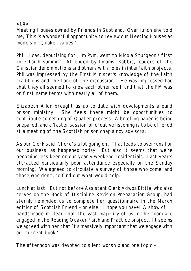**<14>**

Meeting Houses owned by Friends in Scotland. Over lunch she told me, 'This is a wonderful opportunity to review our Meeting Houses as models of Quaker values.'

Phil Lucas, deputising for Jim Pym, went to Nicola Sturgeon's first 'interfaith summit'. Attended by Imams, Rabbis, leaders of the Christian denominations and others with roles in interfaith projects, Phil was impressed by the First Minister's knowledge of the faith traditions and the tone of the discussion. He was impressed too that they all seemed to know each other well, and that the FM was on first name terms with nearly all of them.

Elizabeth Allen brought us up to date with developments around prison ministry. She feels there might be opportunities to contribute something of Quaker process. A briefing paper is being prepared, and a 'taster session' of creative listening is to be offered at a meeting of the Scottish prison chaplaincy advisors.

As our Clerk said, 'there's a lot going on'. That leads to overruns for our business, as happened today. But also it seems that we're becoming less keen on our yearly weekend residentials. Last year's attracted particularly poor attendance especially on the Sunday morning. We agreed to circulate a survey of those who come, and those who don't, to find out what would help.

Lunch at last. But not before Assistant Clerk Adwoa Bittle, who also serves on the Book of Discipline Revision Preparation Group, had sternly reminded us to complete her questionnaire in the March edition of Scottish Friend – or else. I hope you have! A show of hands made it clear that the vast majority of us in the room are engaged in the Reading Quaker Faith and Practice project. It seems we agreed with her that 'it's massively important that we engage with our current book.'

The afternoon was devoted to silent worship and one topic –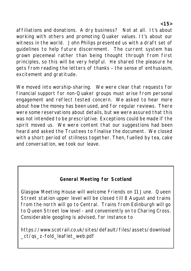affiliations and donations. A dry business? Not at all. It's about working with others and promoting Quaker values. It's about our witness in the world. John Philips presented us with a draft set of guidelines to help future discernment. The current system has grown piecemeal rather than being thought through from first principles, so this will be very helpful. He shared the pleasure he gets from reading the letters of thanks – the sense of enthusiasm, excitement and gratitude.

We moved into worship-sharing. We were clear that requests for financial support for non-Quaker groups must arise from personal engagement and reflect tested concern. We asked to hear more about how the money has been used, and for regular reviews. There were some reservations about details, but we were assured that this was not intended to be prescriptive. Exceptions could be made if the spirit moved us. We were content that our suggestions had been heard and asked the Trustees to finalise the document. We closed with a short period of stillness together. Then, fuelled by tea, cake and conversation, we took our leave.

## **General Meeting for Scotland**

Glasgow Meeting House will welcome Friends on 11 June. Queen Street station upper level will be closed till 8 August and trains from the north will go to Central. Trains from Edinburgh will go to Queen Street low level - and conveniently on to Charing Cross. Considerable googling is advised, for instance to

https://www.scotrail.co.uk/sites/default/files/assets/download \_ct/qs\_z-fold\_leaflet\_web.pdf